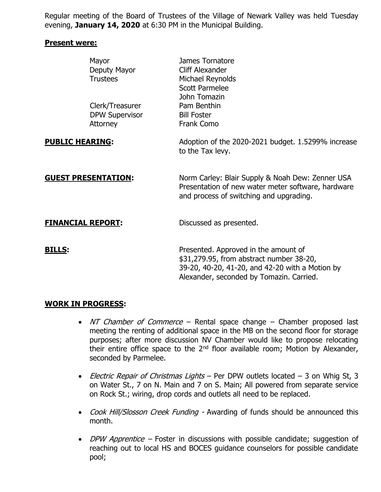Regular meeting of the Board of Trustees of the Village of Newark Valley was held Tuesday evening, **January 14, 2020** at 6:30 PM in the Municipal Building.

#### **Present were:**

|                            | Mayor<br>Deputy Mayor<br><b>Trustees</b>             | James Tornatore<br><b>Cliff Alexander</b><br>Michael Reynolds<br>Scott Parmelee<br>John Tomazin                                                                                 |
|----------------------------|------------------------------------------------------|---------------------------------------------------------------------------------------------------------------------------------------------------------------------------------|
|                            | Clerk/Treasurer<br><b>DPW Supervisor</b><br>Attorney | Pam Benthin<br><b>Bill Foster</b><br>Frank Como                                                                                                                                 |
| <b>PUBLIC HEARING:</b>     |                                                      | Adoption of the 2020-2021 budget. 1.5299% increase<br>to the Tax levy.                                                                                                          |
| <b>GUEST PRESENTATION:</b> |                                                      | Norm Carley: Blair Supply & Noah Dew: Zenner USA<br>Presentation of new water meter software, hardware<br>and process of switching and upgrading.                               |
| <b>FINANCIAL REPORT:</b>   |                                                      | Discussed as presented.                                                                                                                                                         |
| <u>BILLS:</u>              |                                                      | Presented. Approved in the amount of<br>\$31,279.95, from abstract number 38-20,<br>39-20, 40-20, 41-20, and 42-20 with a Motion by<br>Alexander, seconded by Tomazin. Carried. |

## **WORK IN PROGRESS:**

- NT Chamber of Commerce Rental space change Chamber proposed last meeting the renting of additional space in the MB on the second floor for storage purposes; after more discussion NV Chamber would like to propose relocating their entire office space to the  $2<sup>nd</sup>$  floor available room; Motion by Alexander, seconded by Parmelee.
- Electric Repair of Christmas Lights Per DPW outlets located 3 on Whig St, 3 on Water St., 7 on N. Main and 7 on S. Main; All powered from separate service on Rock St.; wiring, drop cords and outlets all need to be replaced.
- Cook Hill/Slosson Creek Funding Awarding of funds should be announced this month.
- *DPW Apprentice* Foster in discussions with possible candidate; suggestion of reaching out to local HS and BOCES guidance counselors for possible candidate pool;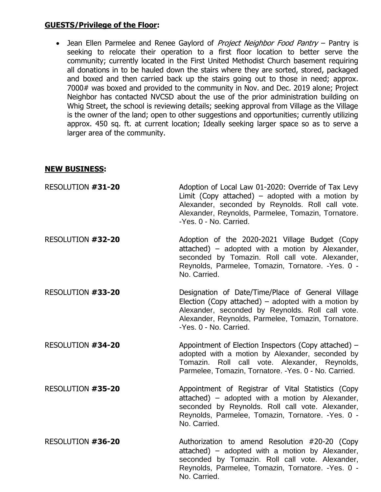### **GUESTS/Privilege of the Floor:**

• Jean Ellen Parmelee and Renee Gaylord of *Project Neighbor Food Pantry* – Pantry is seeking to relocate their operation to a first floor location to better serve the community; currently located in the First United Methodist Church basement requiring all donations in to be hauled down the stairs where they are sorted, stored, packaged and boxed and then carried back up the stairs going out to those in need; approx. 7000# was boxed and provided to the community in Nov. and Dec. 2019 alone; Project Neighbor has contacted NVCSD about the use of the prior administration building on Whig Street, the school is reviewing details; seeking approval from Village as the Village is the owner of the land; open to other suggestions and opportunities; currently utilizing approx. 450 sq. ft. at current location; Ideally seeking larger space so as to serve a larger area of the community.

#### **NEW BUSINESS:**

| RESOLUTION #31-20 | Adoption of Local Law 01-2020: Override of Tax Levy<br>Limit (Copy attached) – adopted with a motion by<br>Alexander, seconded by Reynolds. Roll call vote.<br>Alexander, Reynolds, Parmelee, Tomazin, Tornatore.<br>-Yes. 0 - No. Carried.  |
|-------------------|----------------------------------------------------------------------------------------------------------------------------------------------------------------------------------------------------------------------------------------------|
| RESOLUTION #32-20 | Adoption of the 2020-2021 Village Budget (Copy<br>attached) - adopted with a motion by Alexander,<br>seconded by Tomazin. Roll call vote. Alexander,<br>Reynolds, Parmelee, Tomazin, Tornatore. - Yes. 0 -<br>No. Carried.                   |
| RESOLUTION #33-20 | Designation of Date/Time/Place of General Village<br>Election (Copy attached) – adopted with a motion by<br>Alexander, seconded by Reynolds. Roll call vote.<br>Alexander, Reynolds, Parmelee, Tomazin, Tornatore.<br>-Yes, 0 - No. Carried. |
| RESOLUTION #34-20 | Appointment of Election Inspectors (Copy attached) –<br>adopted with a motion by Alexander, seconded by<br>Tomazin. Roll call vote. Alexander, Reynolds,<br>Parmelee, Tomazin, Tornatore. - Yes. 0 - No. Carried.                            |
| RESOLUTION #35-20 | Appointment of Registrar of Vital Statistics (Copy<br>attached) – adopted with a motion by Alexander,<br>seconded by Reynolds. Roll call vote. Alexander,<br>Reynolds, Parmelee, Tomazin, Tornatore. - Yes. 0 -<br>No. Carried.              |
| RESOLUTION #36-20 | Authorization to amend Resolution #20-20 (Copy<br>attached) – adopted with a motion by Alexander,<br>seconded by Tomazin. Roll call vote. Alexander,<br>Reynolds, Parmelee, Tomazin, Tornatore. - Yes. 0 -<br>No. Carried.                   |